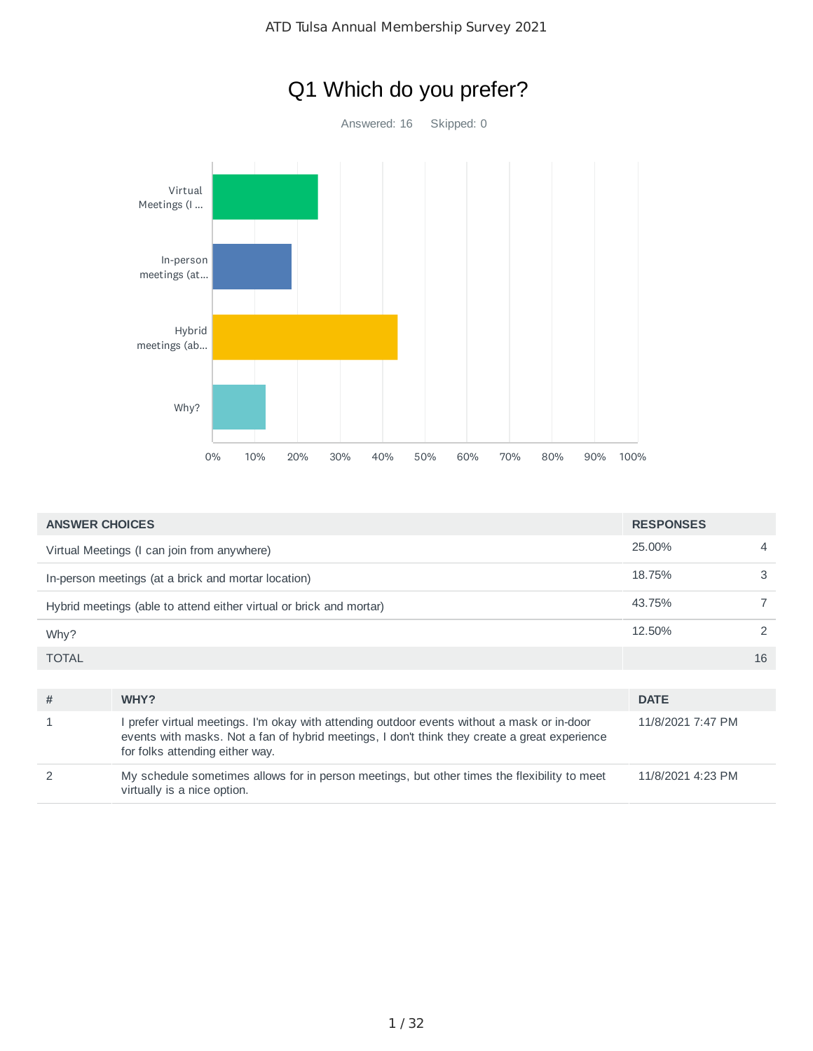



| <b>ANSWER CHOICES</b> | <b>RESPONSES</b>                                                                                                                                                                                                                |                   |    |
|-----------------------|---------------------------------------------------------------------------------------------------------------------------------------------------------------------------------------------------------------------------------|-------------------|----|
|                       | Virtual Meetings (I can join from anywhere)                                                                                                                                                                                     | 25.00%            | 4  |
|                       | In-person meetings (at a brick and mortar location)                                                                                                                                                                             | 18.75%            | 3  |
|                       | Hybrid meetings (able to attend either virtual or brick and mortar)                                                                                                                                                             | 43.75%            |    |
| Why?                  |                                                                                                                                                                                                                                 | 12.50%            | 2  |
| <b>TOTAL</b>          |                                                                                                                                                                                                                                 |                   | 16 |
|                       |                                                                                                                                                                                                                                 |                   |    |
| #                     | WHY?                                                                                                                                                                                                                            | <b>DATE</b>       |    |
|                       | I prefer virtual meetings. I'm okay with attending outdoor events without a mask or in-door<br>events with masks. Not a fan of hybrid meetings, I don't think they create a great experience<br>for folks attending either way. | 11/8/2021 7:47 PM |    |
| $\mathcal{P}$         | My schedule sometimes allows for in person meetings, but other times the flexibility to meet<br>virtually is a nice option.                                                                                                     | 11/8/2021 4:23 PM |    |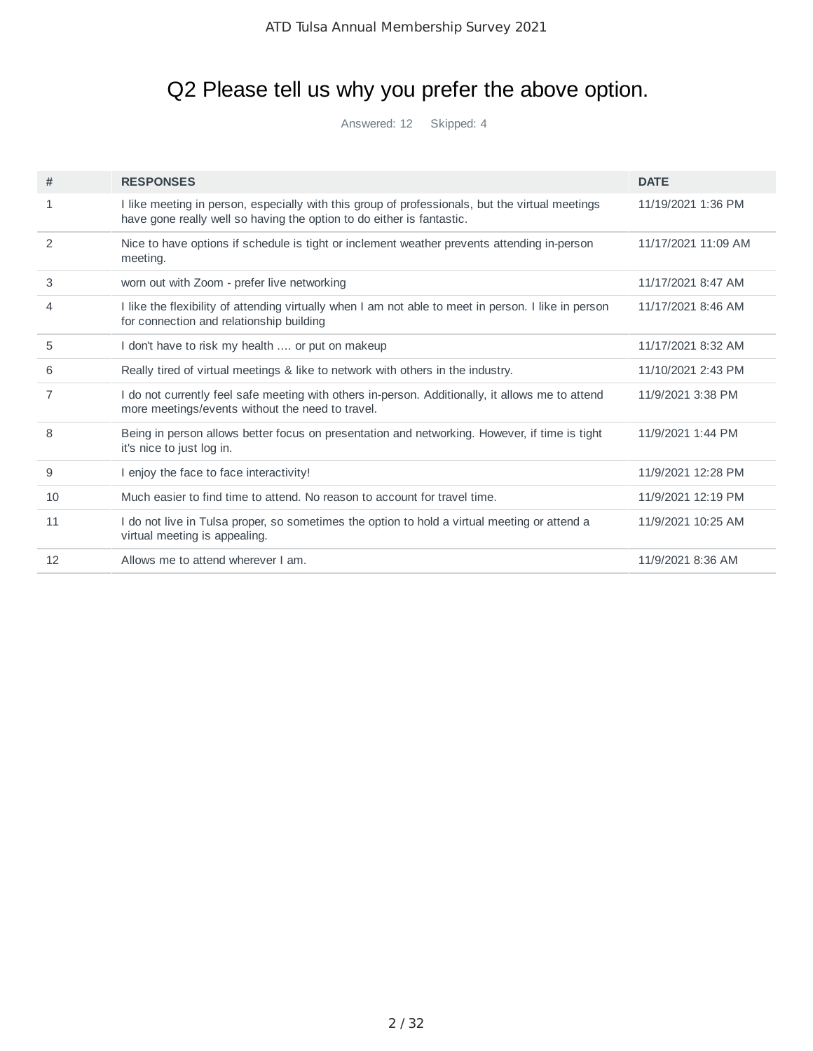# Q2 Please tell us why you prefer the above option.

Answered: 12 Skipped: 4

| #  | <b>RESPONSES</b>                                                                                                                                                         | <b>DATE</b>         |
|----|--------------------------------------------------------------------------------------------------------------------------------------------------------------------------|---------------------|
| 1  | I like meeting in person, especially with this group of professionals, but the virtual meetings<br>have gone really well so having the option to do either is fantastic. | 11/19/2021 1:36 PM  |
| 2  | Nice to have options if schedule is tight or inclement weather prevents attending in-person<br>meeting.                                                                  | 11/17/2021 11:09 AM |
| 3  | worn out with Zoom - prefer live networking                                                                                                                              | 11/17/2021 8:47 AM  |
| 4  | I like the flexibility of attending virtually when I am not able to meet in person. I like in person<br>for connection and relationship building                         | 11/17/2021 8:46 AM  |
| 5  | I don't have to risk my health  or put on makeup                                                                                                                         | 11/17/2021 8:32 AM  |
| 6  | Really tired of virtual meetings & like to network with others in the industry.                                                                                          | 11/10/2021 2:43 PM  |
| 7  | I do not currently feel safe meeting with others in-person. Additionally, it allows me to attend<br>more meetings/events without the need to travel.                     | 11/9/2021 3:38 PM   |
| 8  | Being in person allows better focus on presentation and networking. However, if time is tight<br>it's nice to just log in.                                               | 11/9/2021 1:44 PM   |
| 9  | I enjoy the face to face interactivity!                                                                                                                                  | 11/9/2021 12:28 PM  |
| 10 | Much easier to find time to attend. No reason to account for travel time.                                                                                                | 11/9/2021 12:19 PM  |
| 11 | I do not live in Tulsa proper, so sometimes the option to hold a virtual meeting or attend a<br>virtual meeting is appealing.                                            | 11/9/2021 10:25 AM  |
| 12 | Allows me to attend wherever I am.                                                                                                                                       | 11/9/2021 8:36 AM   |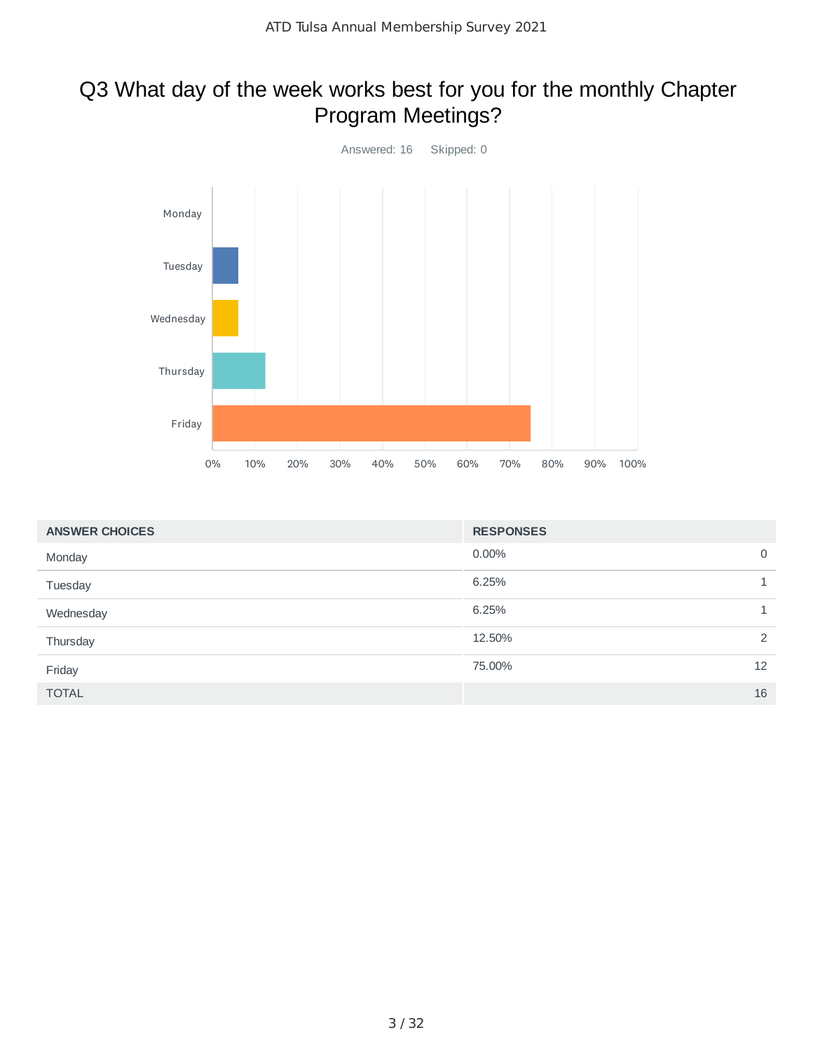# Q3 What day of the week works best for you for the monthly Chapter Program Meetings?



| <b>ANSWER CHOICES</b> | <b>RESPONSES</b> |                |
|-----------------------|------------------|----------------|
| Monday                | $0.00\%$         | $\mathbf 0$    |
| Tuesday               | 6.25%            |                |
| Wednesday             | 6.25%            |                |
| Thursday              | 12.50%           | $\overline{2}$ |
| Friday                | 75.00%           | 12             |
| <b>TOTAL</b>          |                  | 16             |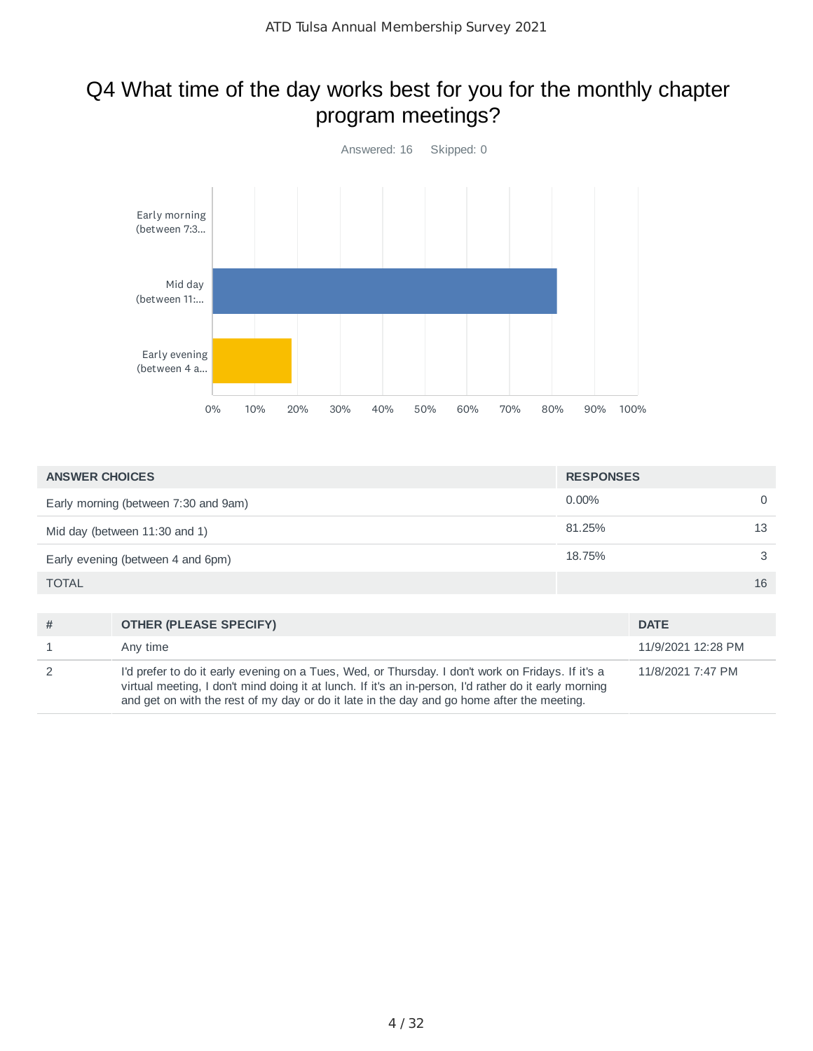# Q4 What time of the day works best for you for the monthly chapter program meetings?



| <b>ANSWER CHOICES</b>                | <b>RESPONSES</b> |    |
|--------------------------------------|------------------|----|
| Early morning (between 7:30 and 9am) | $0.00\%$         | 0  |
| Mid day (between $11:30$ and $1$ )   | 81.25%           | 13 |
| Early evening (between 4 and 6pm)    | 18.75%           | 3  |
| <b>TOTAL</b>                         |                  | 16 |
|                                      |                  |    |

| # | <b>OTHER (PLEASE SPECIFY)</b>                                                                                                                                                                                                                                                                            | <b>DATE</b>        |
|---|----------------------------------------------------------------------------------------------------------------------------------------------------------------------------------------------------------------------------------------------------------------------------------------------------------|--------------------|
| 1 | Any time                                                                                                                                                                                                                                                                                                 | 11/9/2021 12:28 PM |
| 2 | I'd prefer to do it early evening on a Tues, Wed, or Thursday. I don't work on Fridays. If it's a<br>virtual meeting, I don't mind doing it at lunch. If it's an in-person, I'd rather do it early morning<br>and get on with the rest of my day or do it late in the day and go home after the meeting. | 11/8/2021 7:47 PM  |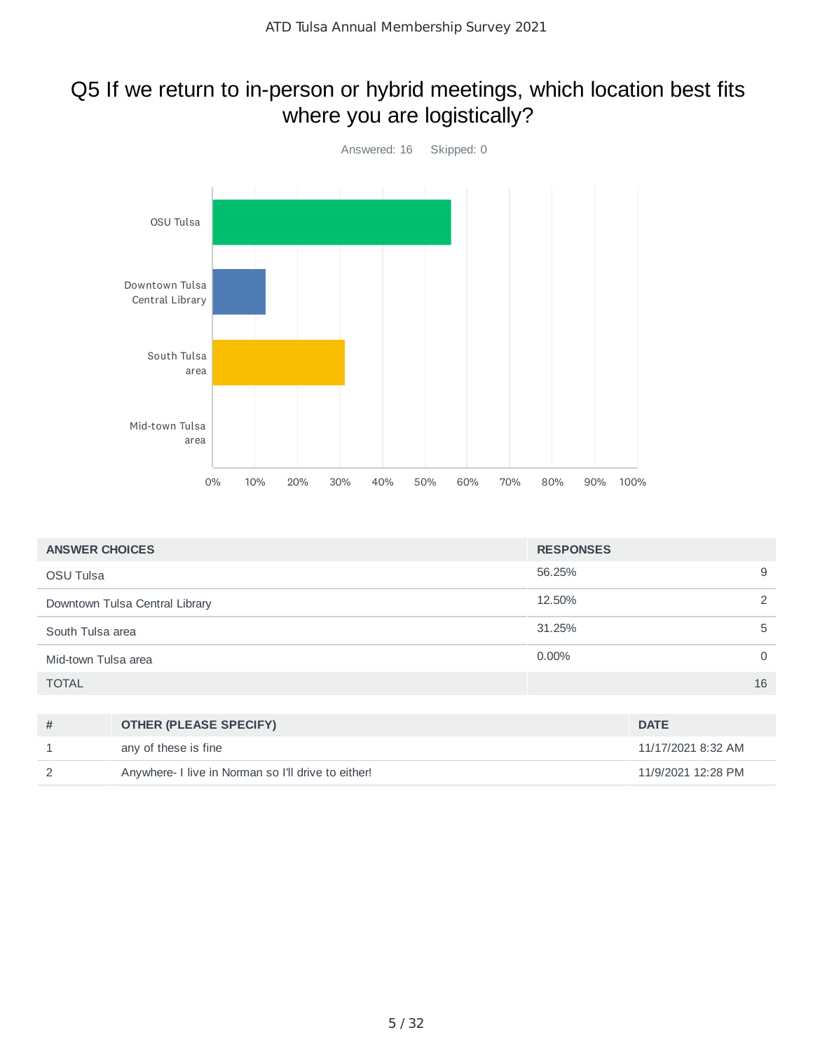# Q5 If we return to in-person or hybrid meetings, which location best fits where you are logistically?



| <b>ANSWER CHOICES</b>          |                               | <b>RESPONSES</b> |                    |
|--------------------------------|-------------------------------|------------------|--------------------|
| <b>OSU Tulsa</b>               |                               | 56.25%           | 9                  |
| Downtown Tulsa Central Library |                               | 12.50%           | 2                  |
| South Tulsa area               |                               | 31.25%           | 5                  |
| Mid-town Tulsa area            |                               | $0.00\%$         | $\mathbf 0$        |
| <b>TOTAL</b>                   |                               |                  | 16                 |
|                                |                               |                  |                    |
| #                              | <b>OTHER (PLEASE SPECIFY)</b> |                  | <b>DATE</b>        |
|                                | any of these is fine          |                  | 11/17/2021 8:32 AM |

2 Anywhere- I live in Norman so I'll drive to either! 11/9/2021 12:28 PM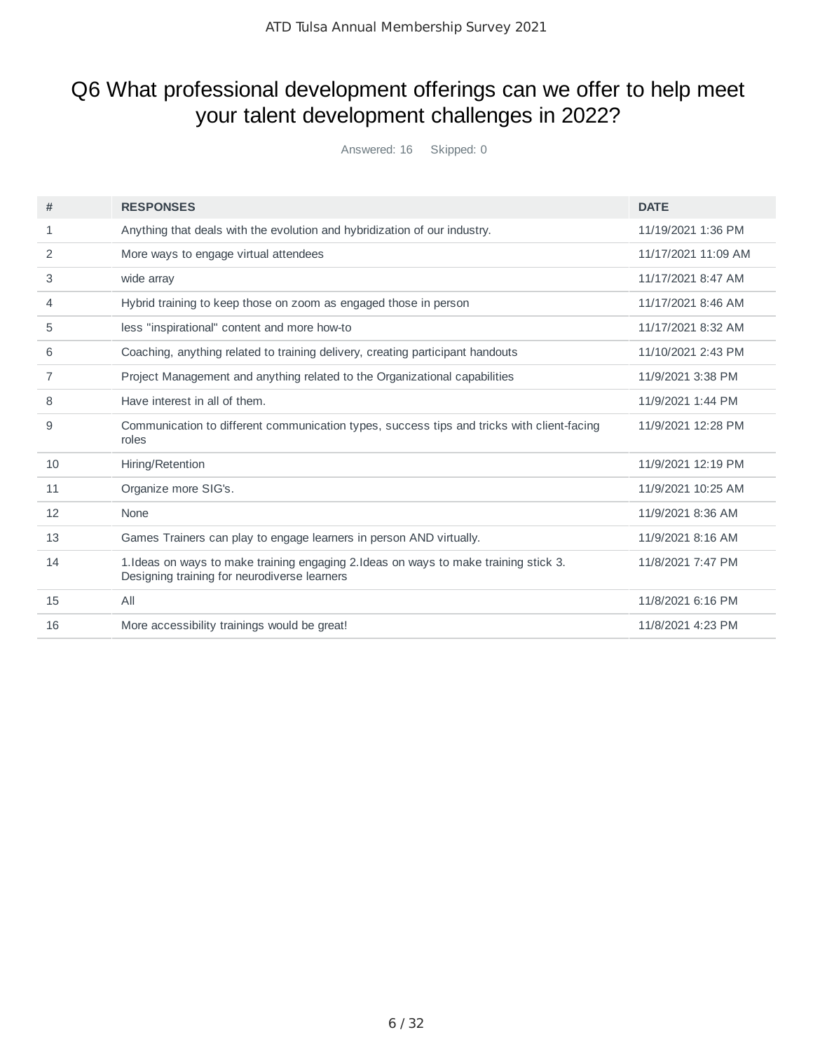# Q6 What professional development offerings can we offer to help meet your talent development challenges in 2022?

Answered: 16 Skipped: 0

| #  | <b>RESPONSES</b>                                                                                                                      | <b>DATE</b>         |
|----|---------------------------------------------------------------------------------------------------------------------------------------|---------------------|
| 1  | Anything that deals with the evolution and hybridization of our industry.                                                             | 11/19/2021 1:36 PM  |
| 2  | More ways to engage virtual attendees                                                                                                 | 11/17/2021 11:09 AM |
| 3  | wide array                                                                                                                            | 11/17/2021 8:47 AM  |
| 4  | Hybrid training to keep those on zoom as engaged those in person                                                                      | 11/17/2021 8:46 AM  |
| 5  | less "inspirational" content and more how-to                                                                                          | 11/17/2021 8:32 AM  |
| 6  | Coaching, anything related to training delivery, creating participant handouts                                                        | 11/10/2021 2:43 PM  |
| 7  | Project Management and anything related to the Organizational capabilities                                                            | 11/9/2021 3:38 PM   |
| 8  | Have interest in all of them.                                                                                                         | 11/9/2021 1:44 PM   |
| 9  | Communication to different communication types, success tips and tricks with client-facing<br>roles                                   | 11/9/2021 12:28 PM  |
| 10 | Hiring/Retention                                                                                                                      | 11/9/2021 12:19 PM  |
| 11 | Organize more SIG's.                                                                                                                  | 11/9/2021 10:25 AM  |
| 12 | None                                                                                                                                  | 11/9/2021 8:36 AM   |
| 13 | Games Trainers can play to engage learners in person AND virtually.                                                                   | 11/9/2021 8:16 AM   |
| 14 | 1. Ideas on ways to make training engaging 2. Ideas on ways to make training stick 3.<br>Designing training for neurodiverse learners | 11/8/2021 7:47 PM   |
| 15 | All                                                                                                                                   | 11/8/2021 6:16 PM   |
| 16 | More accessibility trainings would be great!                                                                                          | 11/8/2021 4:23 PM   |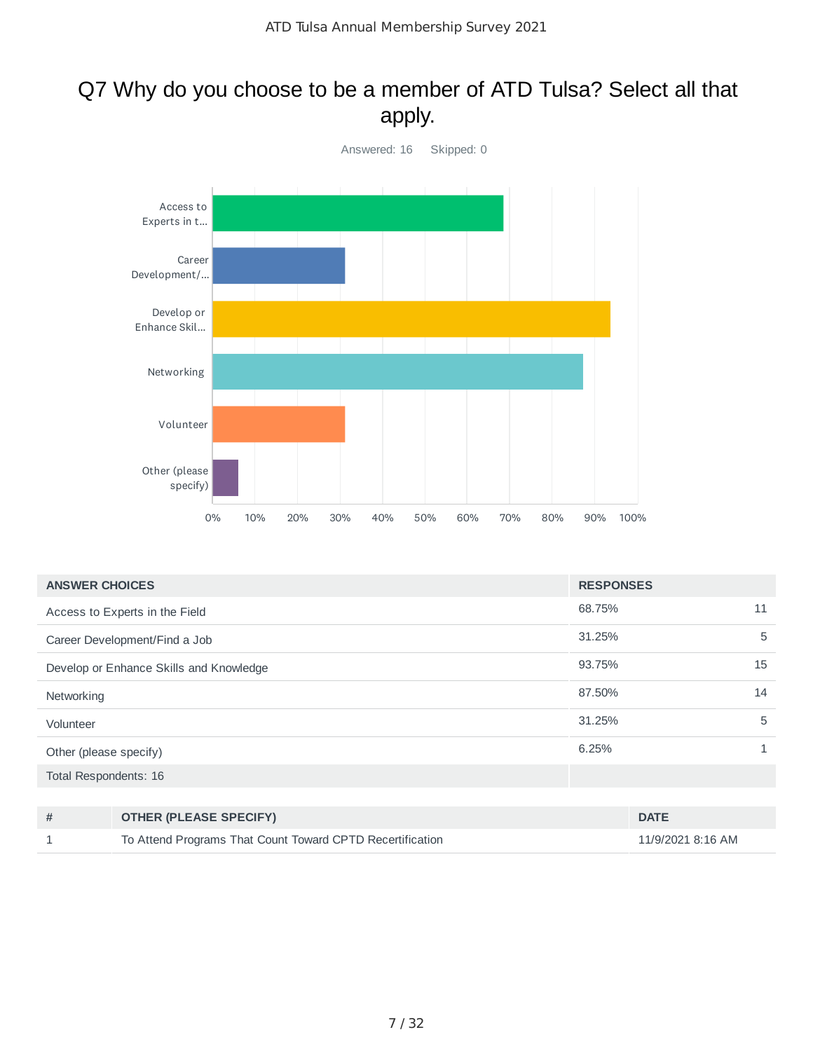### Q7 Why do you choose to be a member of ATD Tulsa? Select all that apply.



| <b>ANSWER CHOICES</b>                   | <b>RESPONSES</b> |    |
|-----------------------------------------|------------------|----|
| Access to Experts in the Field          | 68.75%           | 11 |
| Career Development/Find a Job           | 31.25%           | 5  |
| Develop or Enhance Skills and Knowledge | 93.75%           | 15 |
| Networking                              | 87.50%           | 14 |
| Volunteer                               | 31.25%           | 5  |
| Other (please specify)                  | 6.25%            |    |
| Total Respondents: 16                   |                  |    |

| <b>OTHER (PLEASE SPECIFY)</b>                             | <b>DATE</b>       |
|-----------------------------------------------------------|-------------------|
| To Attend Programs That Count Toward CPTD Recertification | 11/9/2021 8:16 AM |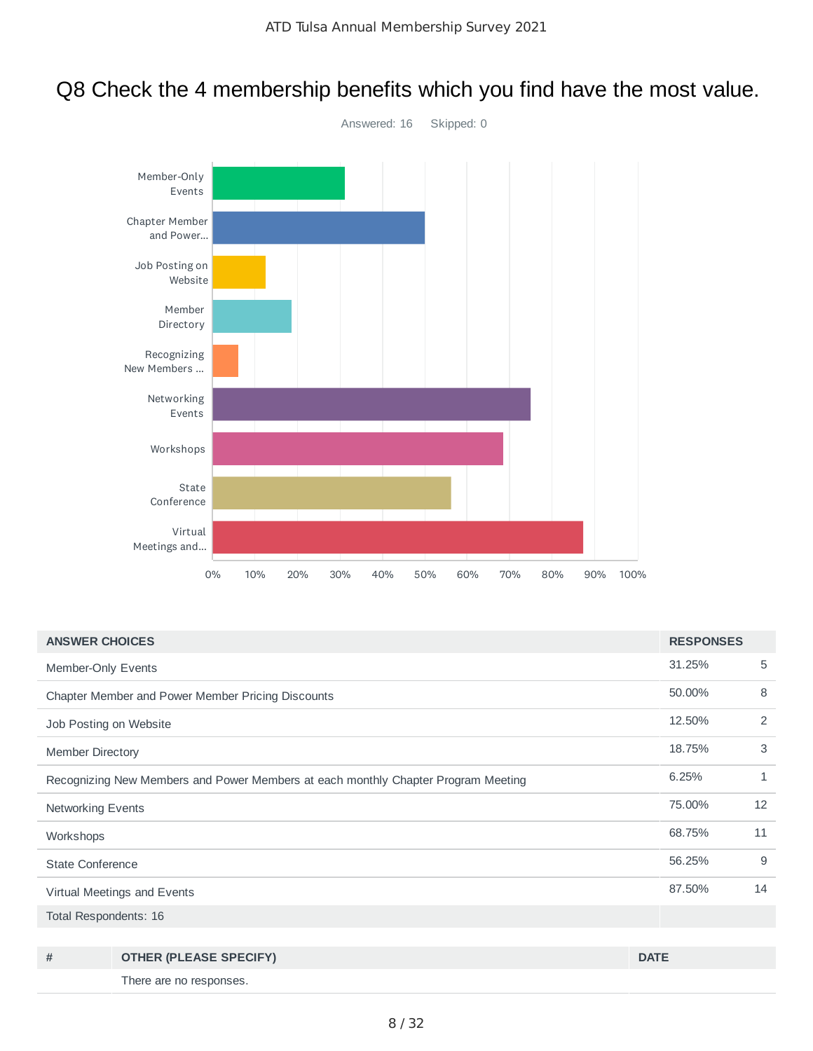

### Q8 Check the 4 membership benefits which you find have the most value.

| <b>ANSWER CHOICES</b>                                                             |                                                   | <b>RESPONSES</b> |    |
|-----------------------------------------------------------------------------------|---------------------------------------------------|------------------|----|
| Member-Only Events                                                                |                                                   | 31.25%           | 5  |
|                                                                                   | Chapter Member and Power Member Pricing Discounts | 50.00%           | 8  |
| Job Posting on Website                                                            |                                                   | 12.50%           | 2  |
| <b>Member Directory</b>                                                           |                                                   | 18.75%           | 3  |
| Recognizing New Members and Power Members at each monthly Chapter Program Meeting |                                                   | 6.25%            | 1  |
| <b>Networking Events</b>                                                          |                                                   | 75.00%           | 12 |
| Workshops                                                                         |                                                   | 68.75%           | 11 |
| <b>State Conference</b>                                                           |                                                   | 56.25%           | 9  |
| Virtual Meetings and Events                                                       |                                                   | 87.50%           | 14 |
| Total Respondents: 16                                                             |                                                   |                  |    |
|                                                                                   |                                                   |                  |    |
| #                                                                                 | <b>OTHER (PLEASE SPECIFY)</b>                     | <b>DATE</b>      |    |

There are no responses.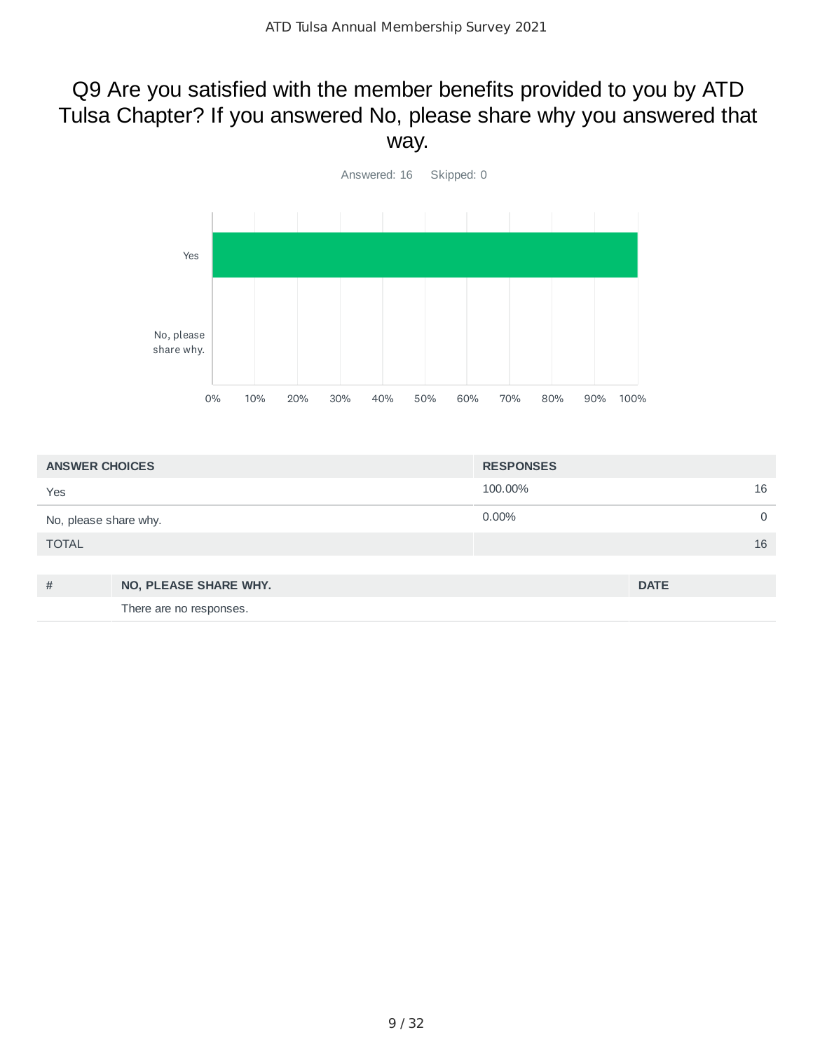# Q9 Are you satisfied with the member benefits provided to you by ATD Tulsa Chapter? If you answered No, please share why you answered that way.



| <b>ANSWER CHOICES</b> |                         | <b>RESPONSES</b> |             |
|-----------------------|-------------------------|------------------|-------------|
| Yes                   |                         | 100.00%          | 16          |
| No, please share why. |                         | $0.00\%$         | 0           |
| <b>TOTAL</b>          |                         |                  | 16          |
|                       |                         |                  |             |
| #                     | NO, PLEASE SHARE WHY.   |                  | <b>DATE</b> |
|                       | There are no responses. |                  |             |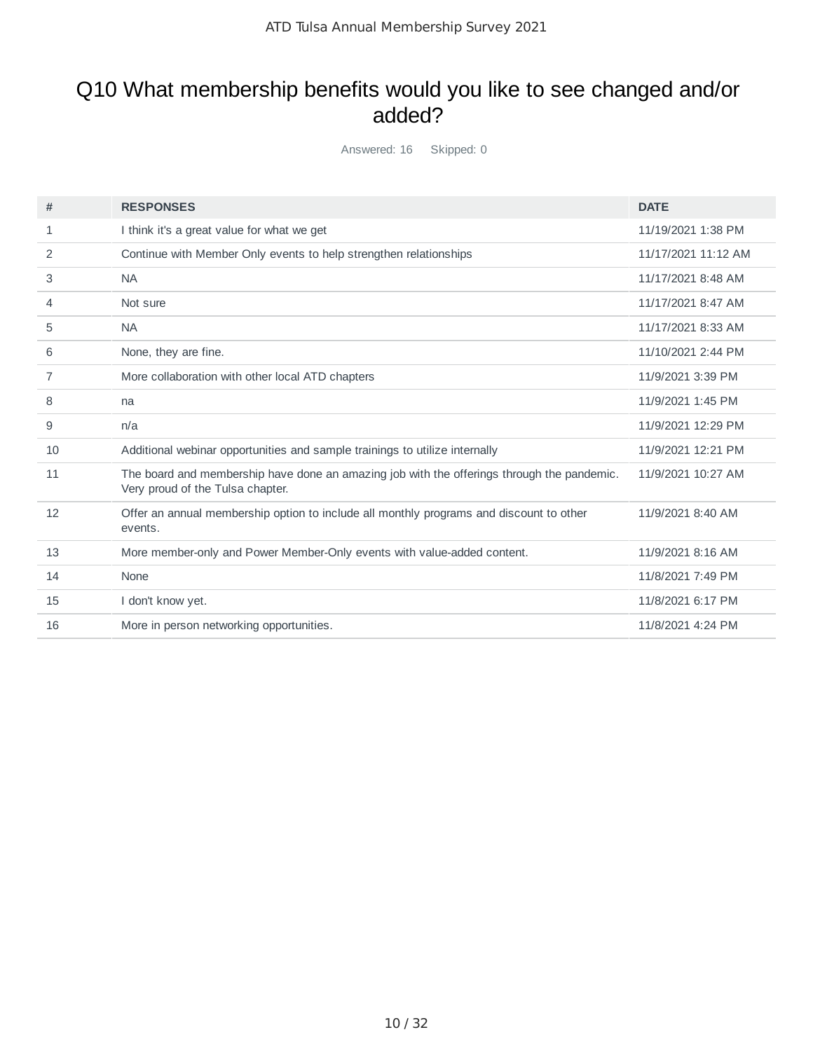# Q10 What membership benefits would you like to see changed and/or added?

Answered: 16 Skipped: 0

| #  | <b>RESPONSES</b>                                                                                                               | <b>DATE</b>         |
|----|--------------------------------------------------------------------------------------------------------------------------------|---------------------|
| 1  | I think it's a great value for what we get                                                                                     | 11/19/2021 1:38 PM  |
| 2  | Continue with Member Only events to help strengthen relationships                                                              | 11/17/2021 11:12 AM |
| 3  | <b>NA</b>                                                                                                                      | 11/17/2021 8:48 AM  |
| 4  | Not sure                                                                                                                       | 11/17/2021 8:47 AM  |
| 5  | <b>NA</b>                                                                                                                      | 11/17/2021 8:33 AM  |
| 6  | None, they are fine.                                                                                                           | 11/10/2021 2:44 PM  |
| 7  | More collaboration with other local ATD chapters                                                                               | 11/9/2021 3:39 PM   |
| 8  | na                                                                                                                             | 11/9/2021 1:45 PM   |
| 9  | n/a                                                                                                                            | 11/9/2021 12:29 PM  |
| 10 | Additional webinar opportunities and sample trainings to utilize internally                                                    | 11/9/2021 12:21 PM  |
| 11 | The board and membership have done an amazing job with the offerings through the pandemic.<br>Very proud of the Tulsa chapter. | 11/9/2021 10:27 AM  |
| 12 | Offer an annual membership option to include all monthly programs and discount to other<br>events.                             | 11/9/2021 8:40 AM   |
| 13 | More member-only and Power Member-Only events with value-added content.                                                        | 11/9/2021 8:16 AM   |
| 14 | None                                                                                                                           | 11/8/2021 7:49 PM   |
| 15 | I don't know yet.                                                                                                              | 11/8/2021 6:17 PM   |
| 16 | More in person networking opportunities.                                                                                       | 11/8/2021 4:24 PM   |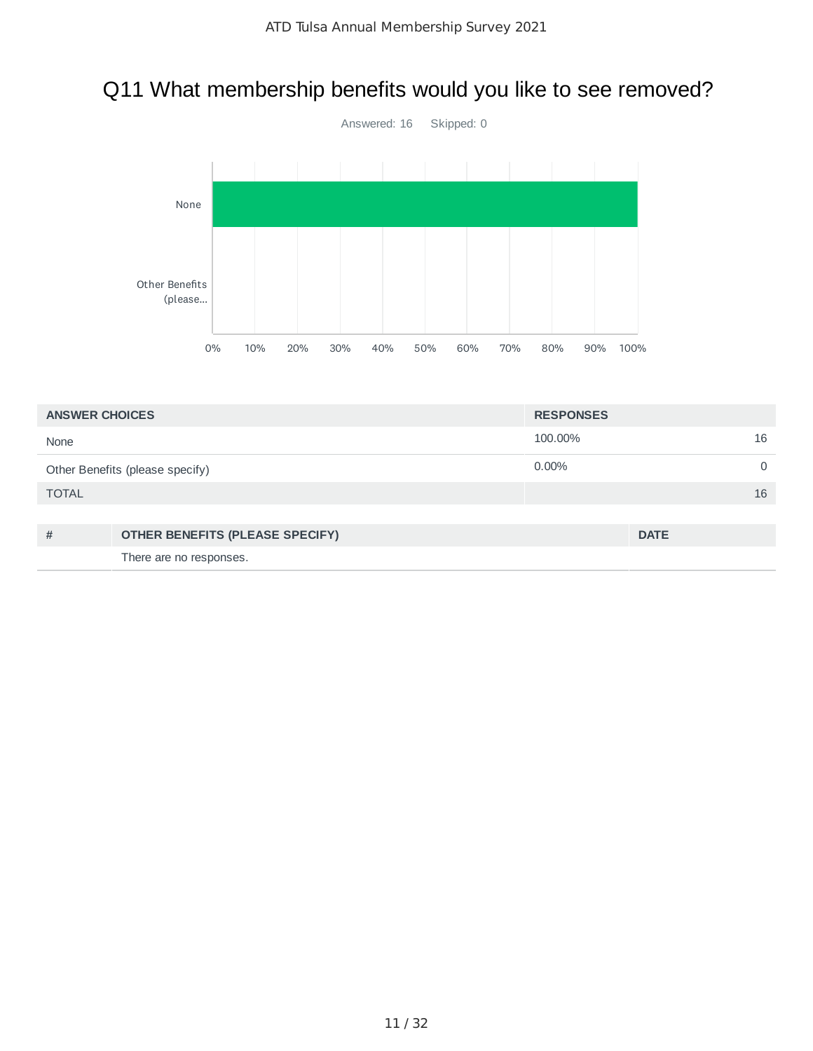# Q11 What membership benefits would you like to see removed?



| <b>ANSWER CHOICES</b>           |                                 | <b>RESPONSES</b> |             |
|---------------------------------|---------------------------------|------------------|-------------|
| None                            |                                 | 100.00%          | 16          |
| Other Benefits (please specify) |                                 | $0.00\%$         | $\Omega$    |
| <b>TOTAL</b>                    |                                 |                  | 16          |
|                                 |                                 |                  |             |
| #                               | OTHER BENEFITS (PLEASE SPECIFY) |                  | <b>DATE</b> |
|                                 | There are no responses.         |                  |             |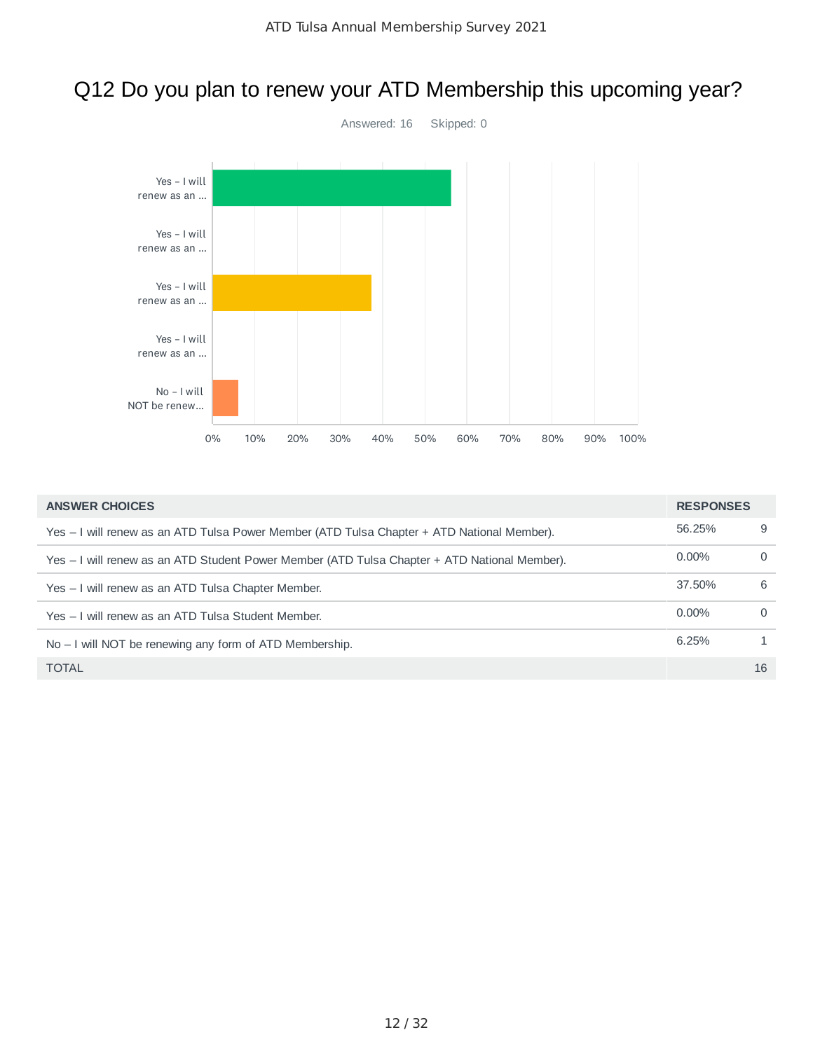# Q12 Do you plan to renew your ATD Membership this upcoming year?



| <b>ANSWER CHOICES</b>                                                                        | <b>RESPONSES</b> |          |
|----------------------------------------------------------------------------------------------|------------------|----------|
| Yes – I will renew as an ATD Tulsa Power Member (ATD Tulsa Chapter + ATD National Member).   | 56.25%           | 9        |
| Yes – I will renew as an ATD Student Power Member (ATD Tulsa Chapter + ATD National Member). | $0.00\%$         | $\Omega$ |
| Yes – I will renew as an ATD Tulsa Chapter Member.                                           | 37.50%           | 6        |
| Yes – I will renew as an ATD Tulsa Student Member.                                           | $0.00\%$         | $\Omega$ |
| $No - I$ will NOT be renewing any form of ATD Membership.                                    | 6.25%            |          |
| <b>TOTAL</b>                                                                                 |                  | 16       |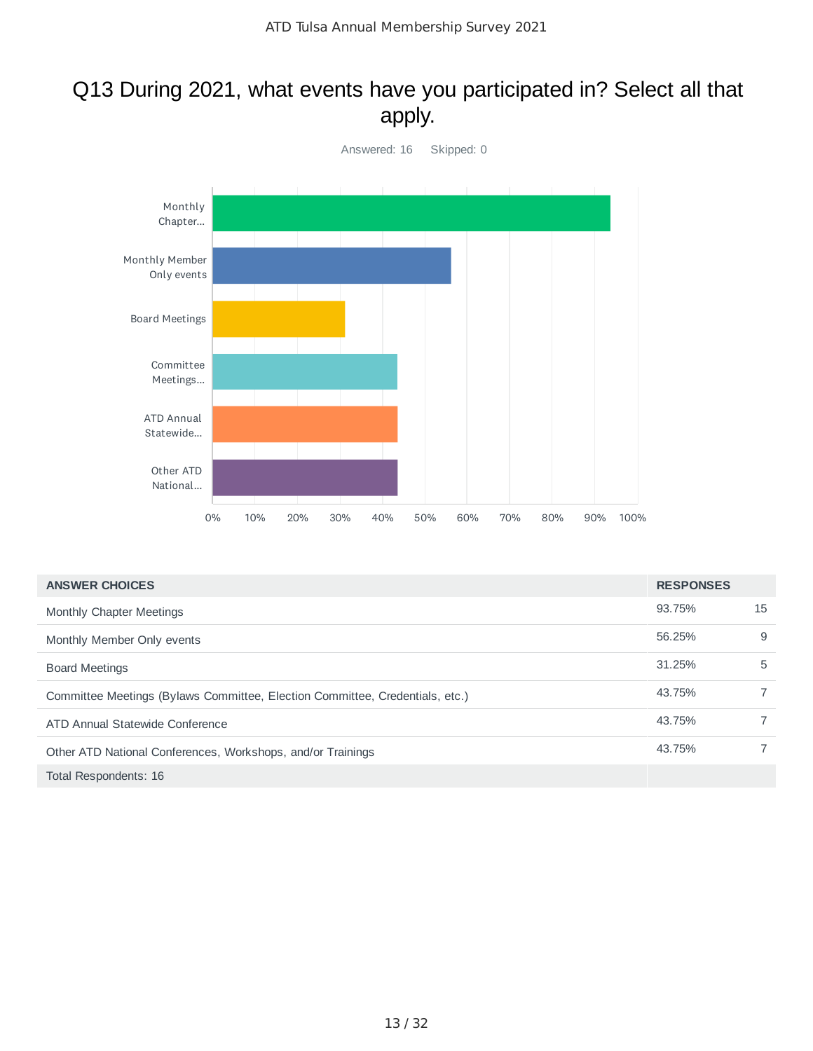### Q13 During 2021, what events have you participated in? Select all that apply.



| <b>ANSWER CHOICES</b>                                                        | <b>RESPONSES</b> |                |
|------------------------------------------------------------------------------|------------------|----------------|
| Monthly Chapter Meetings                                                     | 93.75%           | 15             |
| Monthly Member Only events                                                   | 56.25%           | 9              |
| <b>Board Meetings</b>                                                        | 31.25%           | 5              |
| Committee Meetings (Bylaws Committee, Election Committee, Credentials, etc.) | 43.75%           | $\overline{7}$ |
| ATD Annual Statewide Conference                                              | 43.75%           | $\overline{7}$ |
| Other ATD National Conferences, Workshops, and/or Trainings                  | 43.75%           |                |
| Total Respondents: 16                                                        |                  |                |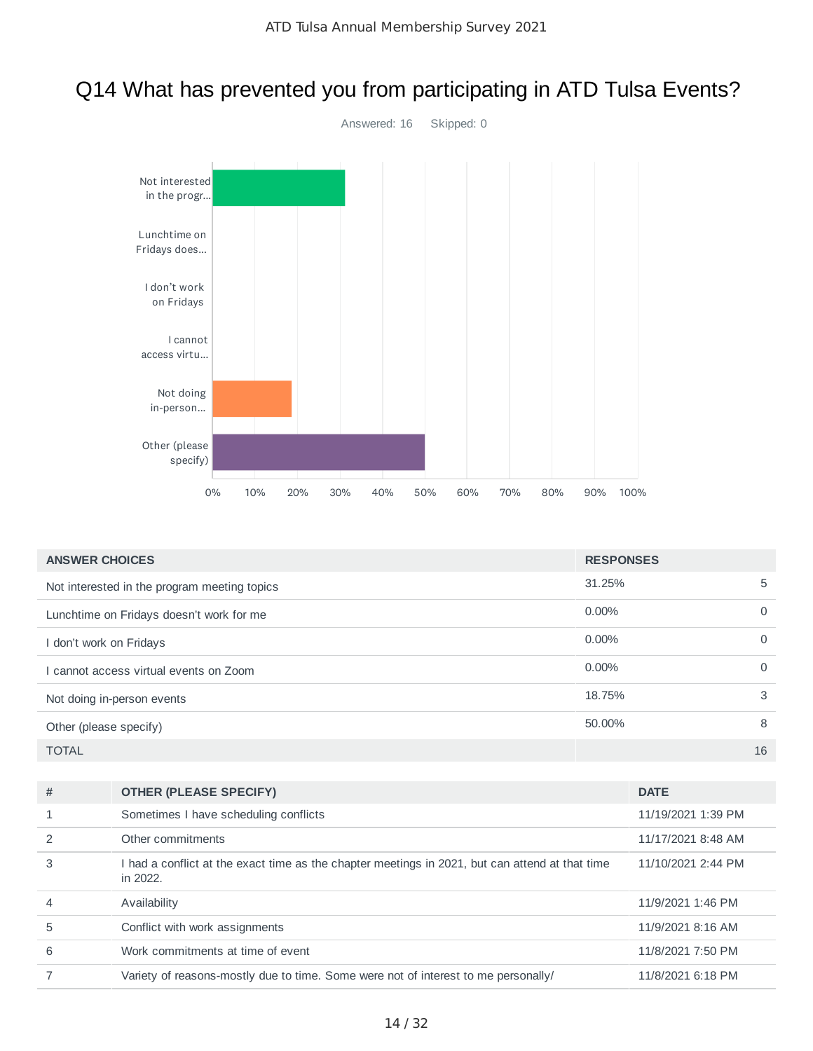# Q14 What has prevented you from participating in ATD Tulsa Events?



| <b>ANSWER CHOICES</b>                        | <b>RESPONSES</b> |          |
|----------------------------------------------|------------------|----------|
| Not interested in the program meeting topics | 31.25%           | 5        |
| Lunchtime on Fridays doesn't work for me     | $0.00\%$         | $\Omega$ |
| I don't work on Fridays                      | $0.00\%$         | $\Omega$ |
| cannot access virtual events on Zoom         | $0.00\%$         | $\Omega$ |
| Not doing in-person events                   | 18.75%           | 3        |
| Other (please specify)                       | 50.00%           | 8        |
| <b>TOTAL</b>                                 |                  | 16       |

| # | <b>OTHER (PLEASE SPECIFY)</b>                                                                               | <b>DATE</b>        |
|---|-------------------------------------------------------------------------------------------------------------|--------------------|
|   | Sometimes I have scheduling conflicts                                                                       | 11/19/2021 1:39 PM |
|   | Other commitments                                                                                           | 11/17/2021 8:48 AM |
| 3 | I had a conflict at the exact time as the chapter meetings in 2021, but can attend at that time<br>in 2022. | 11/10/2021 2:44 PM |
| 4 | Availability                                                                                                | 11/9/2021 1:46 PM  |
| 5 | Conflict with work assignments                                                                              | 11/9/2021 8:16 AM  |
| 6 | Work commitments at time of event                                                                           | 11/8/2021 7:50 PM  |
|   | Variety of reasons-mostly due to time. Some were not of interest to me personally/                          | 11/8/2021 6:18 PM  |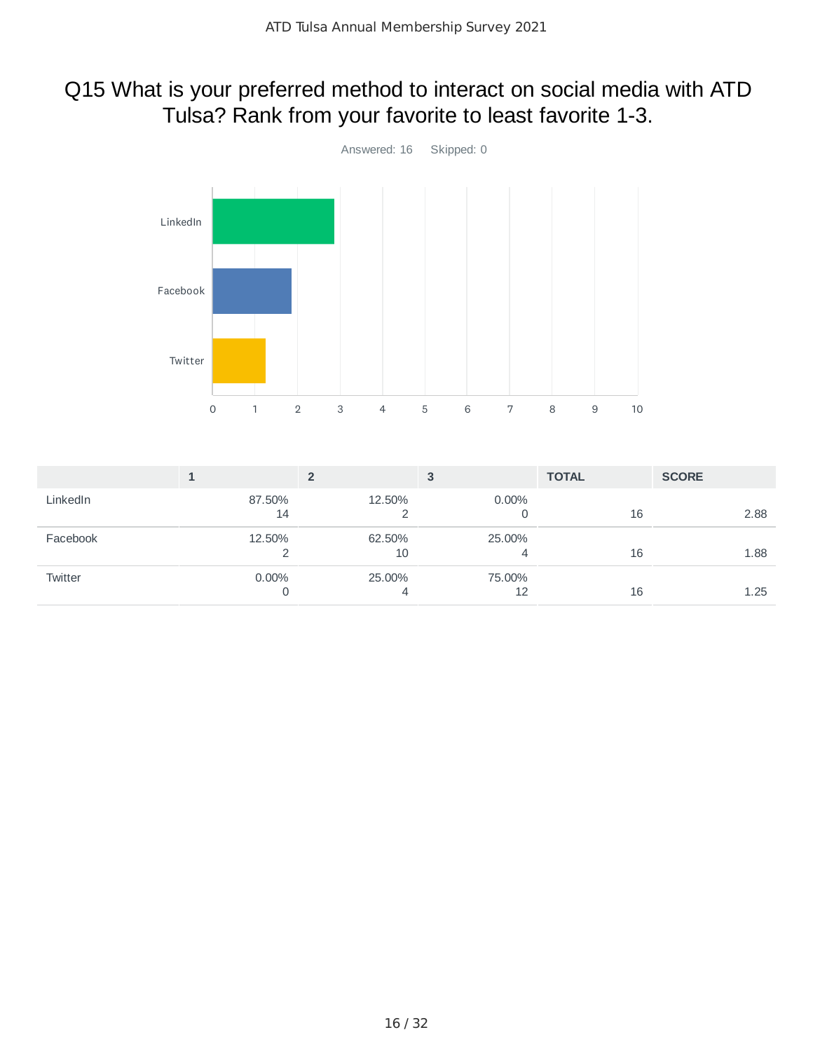# Q15 What is your preferred method to interact on social media with ATD Tulsa? Rank from your favorite to least favorite 1-3.



|          |               |              | 3            | <b>TOTAL</b> | <b>SCORE</b> |
|----------|---------------|--------------|--------------|--------------|--------------|
| LinkedIn | 87.50%<br>14  | 12.50%       | $0.00\%$     | 16           | 2.88         |
| Facebook | 12.50%        | 62.50%<br>10 | 25.00%       | 16           | 1.88         |
| Twitter  | $0.00\%$<br>0 | 25.00%<br>4  | 75.00%<br>12 | 16           | 1.25         |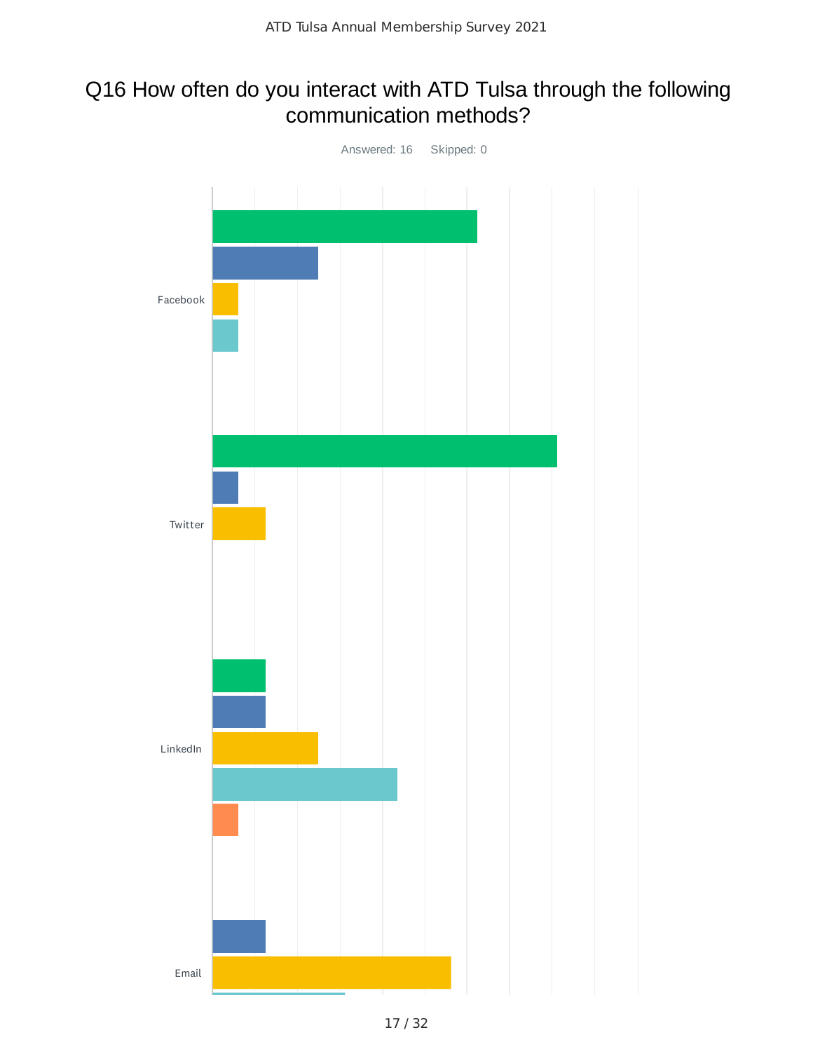### Q16 How often do you interact with ATD Tulsa through the following communication methods?

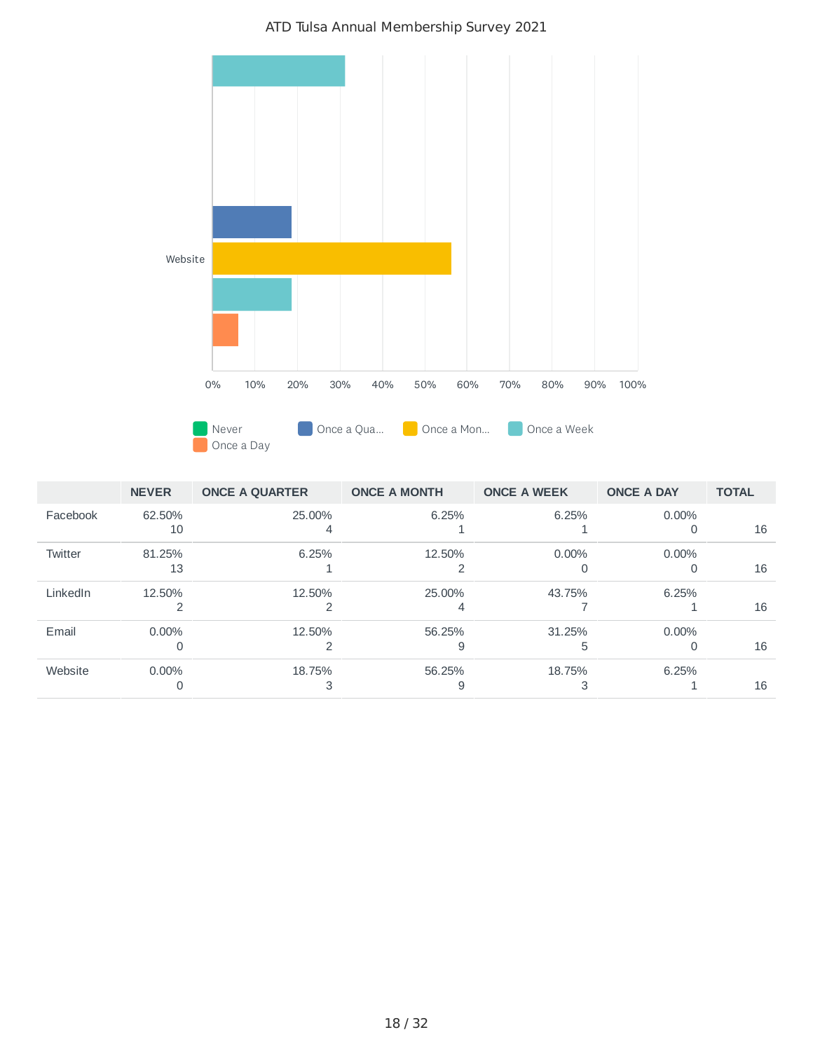



|          | <b>NEVER</b> | <b>ONCE A QUARTER</b> | <b>ONCE A MONTH</b> | <b>ONCE A WEEK</b> | <b>ONCE A DAY</b> | <b>TOTAL</b> |
|----------|--------------|-----------------------|---------------------|--------------------|-------------------|--------------|
| Facebook | 62.50%       | 25.00%                | 6.25%               | 6.25%              | 0.00%             |              |
|          | 10           |                       |                     |                    | $\Omega$          | 16           |
| Twitter  | 81.25%       | 6.25%                 | 12.50%              | $0.00\%$           | 0.00%             |              |
|          | 13           |                       |                     |                    | $\Omega$          | 16           |
| LinkedIn | 12.50%       | 12.50%                | 25.00%              | 43.75%             | 6.25%             |              |
|          |              |                       | 4                   |                    |                   | 16           |
| Email    | $0.00\%$     | 12.50%                | 56.25%              | 31.25%             | $0.00\%$          |              |
|          | υ            |                       |                     | ь                  | 0                 | 16           |
| Website  | $0.00\%$     | 18.75%                | 56.25%              | 18.75%             | 6.25%             |              |
|          |              |                       |                     |                    |                   | 16           |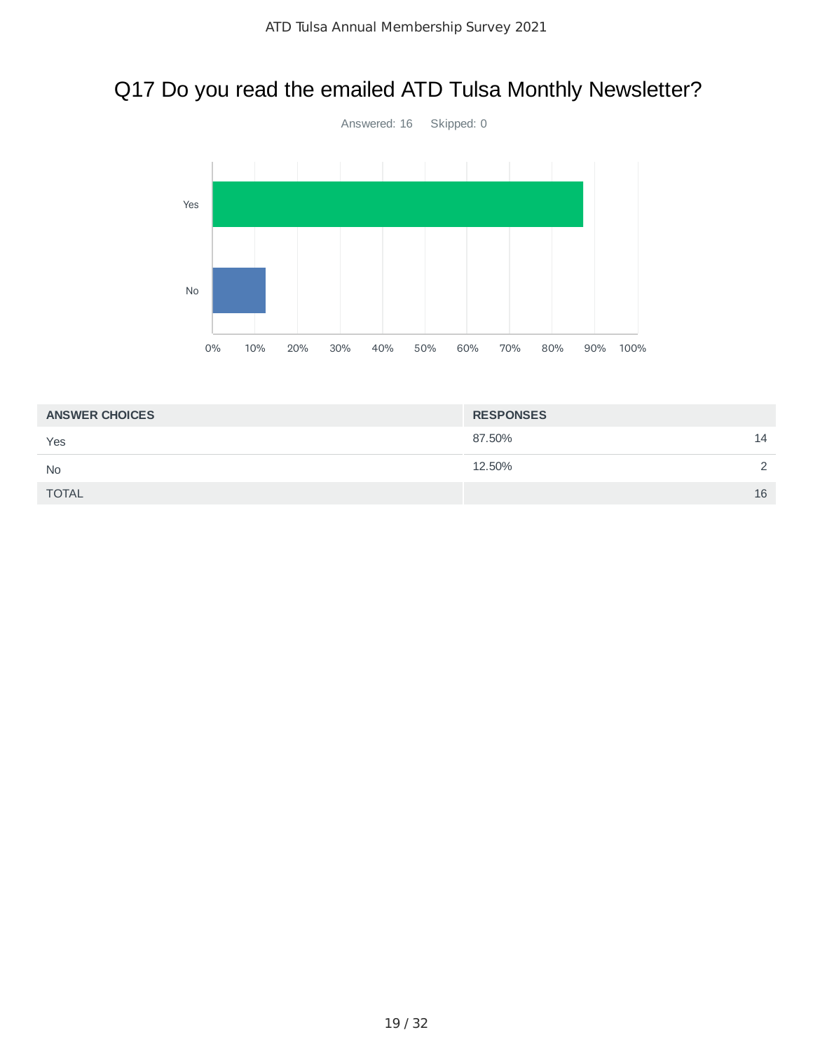# Q17 Do you read the emailed ATD Tulsa Monthly Newsletter?



| <b>ANSWER CHOICES</b> | <b>RESPONSES</b> |               |
|-----------------------|------------------|---------------|
| Yes                   | 87.50%           | 14            |
| <b>No</b>             | 12.50%           | $\mathcal{D}$ |
| <b>TOTAL</b>          |                  | 16            |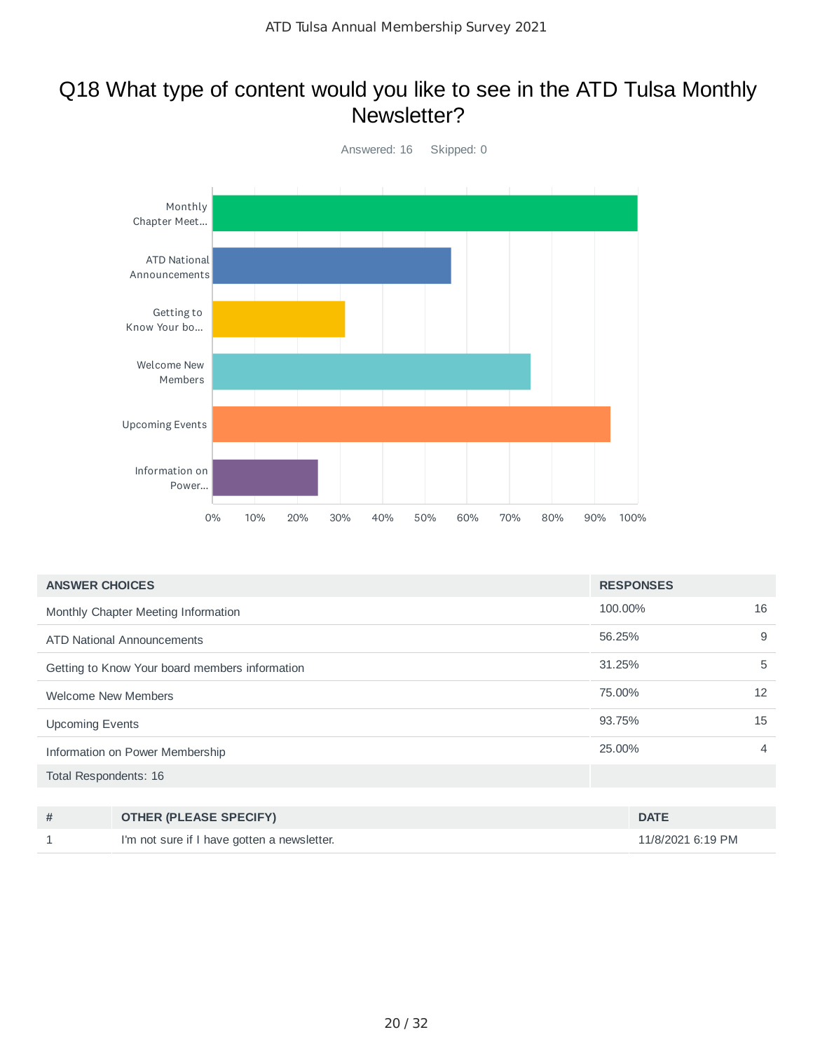#### Q18 What type of content would you like to see in the ATD Tulsa Monthly Newsletter?



| <b>ANSWER CHOICES</b>                          | <b>RESPONSES</b> |    |
|------------------------------------------------|------------------|----|
| Monthly Chapter Meeting Information            | 100.00%          | 16 |
| ATD National Announcements                     | 56.25%           | 9  |
| Getting to Know Your board members information | 31.25%           | 5  |
| <b>Welcome New Members</b>                     | 75.00%           | 12 |
| <b>Upcoming Events</b>                         | 93.75%           | 15 |
| Information on Power Membership                | 25,00%           | 4  |
| Total Respondents: 16                          |                  |    |

| <b>OTHER (PLEASE SPECIFY)</b>               | <b>DATE</b>       |
|---------------------------------------------|-------------------|
| I'm not sure if I have gotten a newsletter. | 11/8/2021 6:19 PM |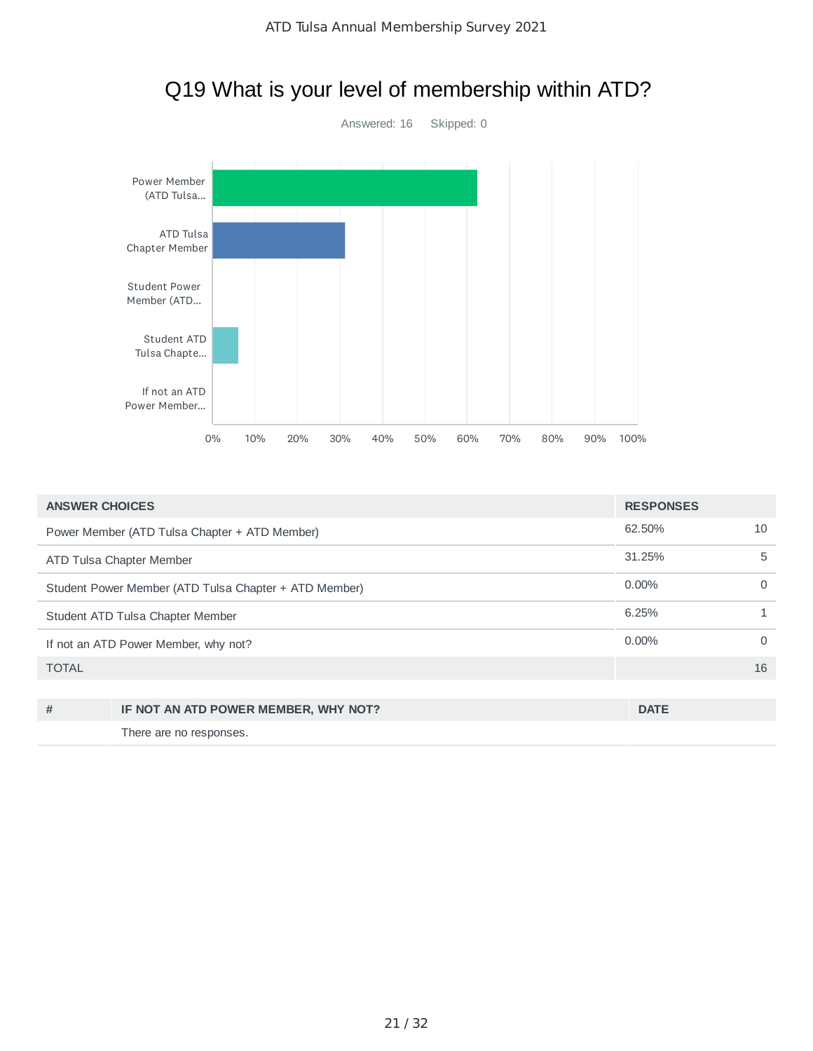

| <b>ANSWER CHOICES</b>                                 |                                               | <b>RESPONSES</b> |          |
|-------------------------------------------------------|-----------------------------------------------|------------------|----------|
|                                                       | Power Member (ATD Tulsa Chapter + ATD Member) | 62.50%           | 10       |
|                                                       | ATD Tulsa Chapter Member                      | 31.25%           | 5        |
| Student Power Member (ATD Tulsa Chapter + ATD Member) |                                               | $0.00\%$         | $\Omega$ |
| Student ATD Tulsa Chapter Member                      |                                               | 6.25%            | 1        |
| If not an ATD Power Member, why not?                  |                                               | $0.00\%$         | $\Omega$ |
| <b>TOTAL</b>                                          |                                               |                  | 16       |
|                                                       |                                               |                  |          |
| #                                                     | IF NOT AN ATD POWER MEMBER, WHY NOT?          | <b>DATE</b>      |          |
|                                                       | There are no responses.                       |                  |          |

# Q19 What is your level of membership within ATD?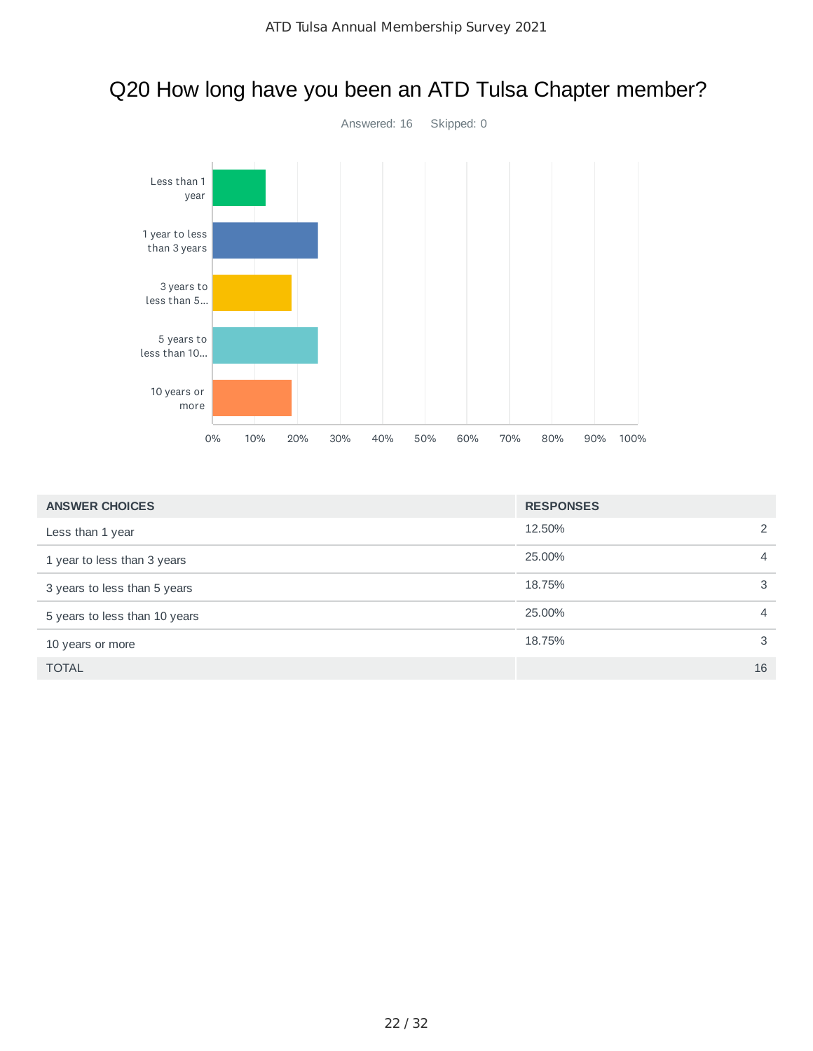

# Q20 How long have you been an ATD Tulsa Chapter member?

| <b>ANSWER CHOICES</b>         | <b>RESPONSES</b> |                |
|-------------------------------|------------------|----------------|
| Less than 1 year              | 12.50%           | 2              |
| 1 year to less than 3 years   | 25,00%           | $\overline{4}$ |
| 3 years to less than 5 years  | 18.75%           | 3              |
| 5 years to less than 10 years | 25.00%           | $\overline{4}$ |
| 10 years or more              | 18.75%           | 3              |
| <b>TOTAL</b>                  |                  | 16             |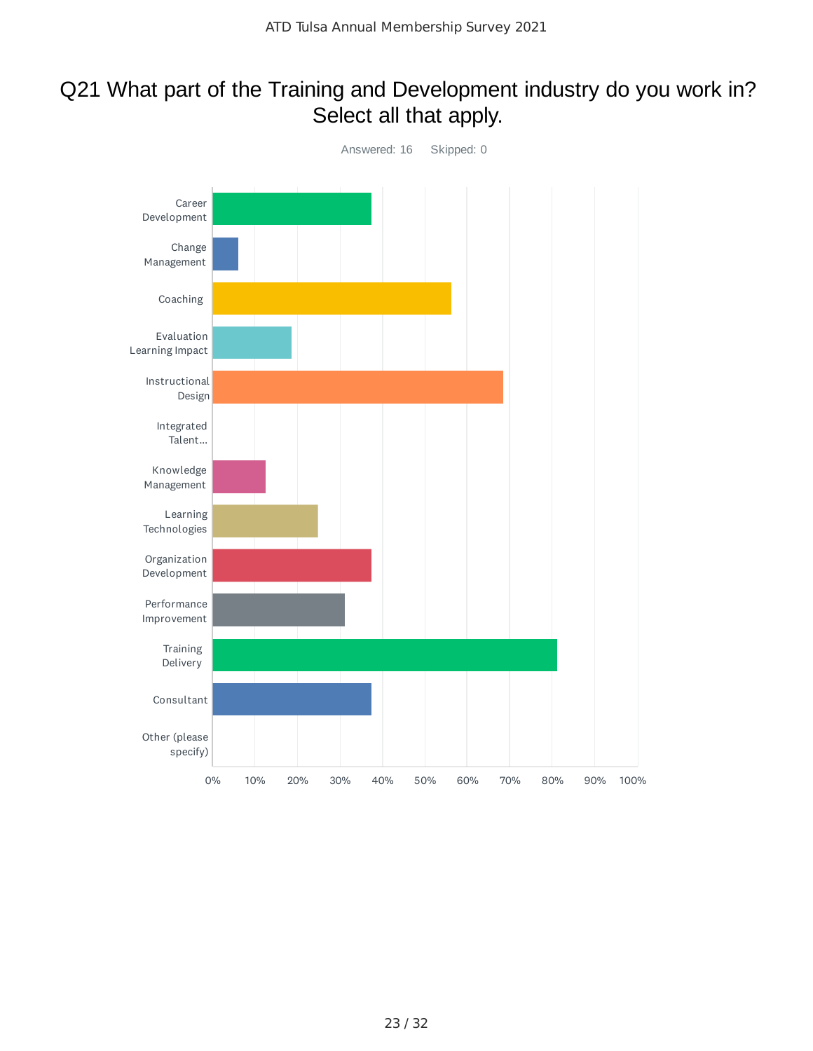# Q21 What part of the Training and Development industry do you work in? Select all that apply.

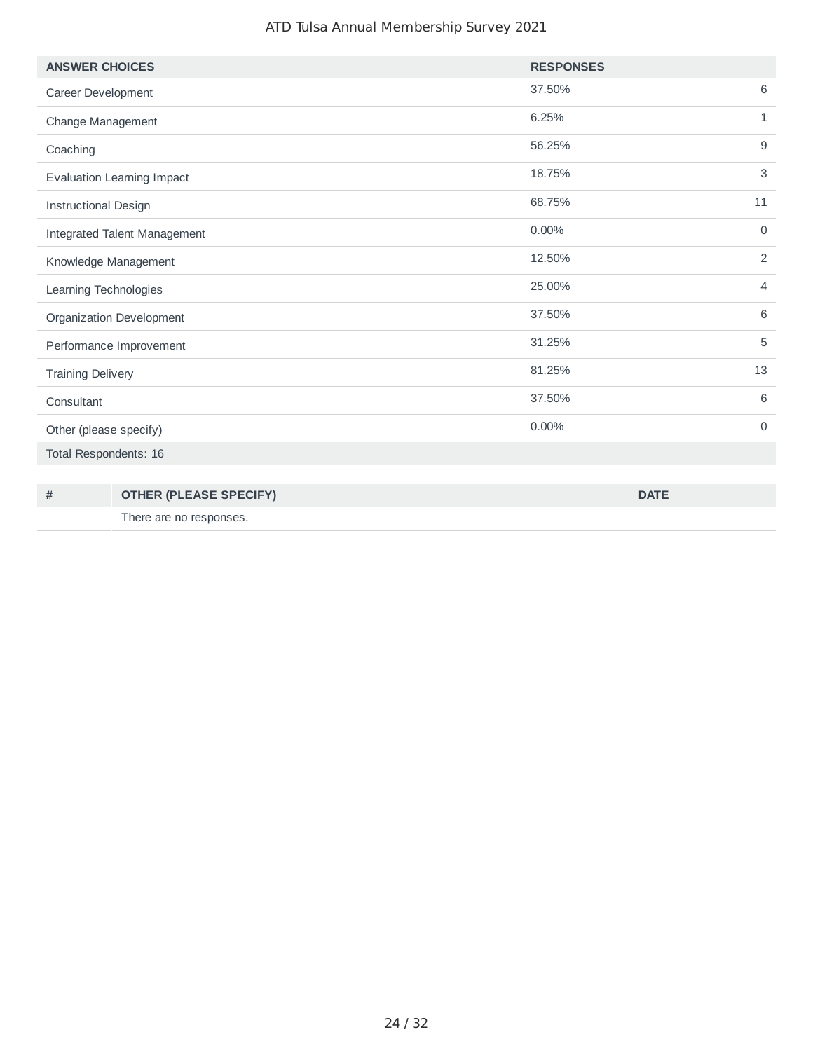#### ATD Tulsa Annual Membership Survey 2021

| <b>ANSWER CHOICES</b>             | <b>RESPONSES</b>         |
|-----------------------------------|--------------------------|
| Career Development                | 6<br>37.50%              |
| Change Management                 | 6.25%<br>$\mathbf{1}$    |
| Coaching                          | 9<br>56.25%              |
| <b>Evaluation Learning Impact</b> | $\mathsf 3$<br>18.75%    |
| <b>Instructional Design</b>       | 68.75%<br>11             |
| Integrated Talent Management      | 0.00%<br>$\mathbf 0$     |
| Knowledge Management              | 2<br>12.50%              |
| Learning Technologies             | 25.00%<br>$\overline{4}$ |
| Organization Development          | 6<br>37.50%              |
| Performance Improvement           | 5<br>31.25%              |
| <b>Training Delivery</b>          | 13<br>81.25%             |
| Consultant                        | 6<br>37.50%              |
| Other (please specify)            | 0.00%<br>$\mathbf 0$     |
| Total Respondents: 16             |                          |

| # | <b>OTHER (PLEASE SPECIFY)</b> | <b>DATE</b> |
|---|-------------------------------|-------------|
|   | There are no responses.       |             |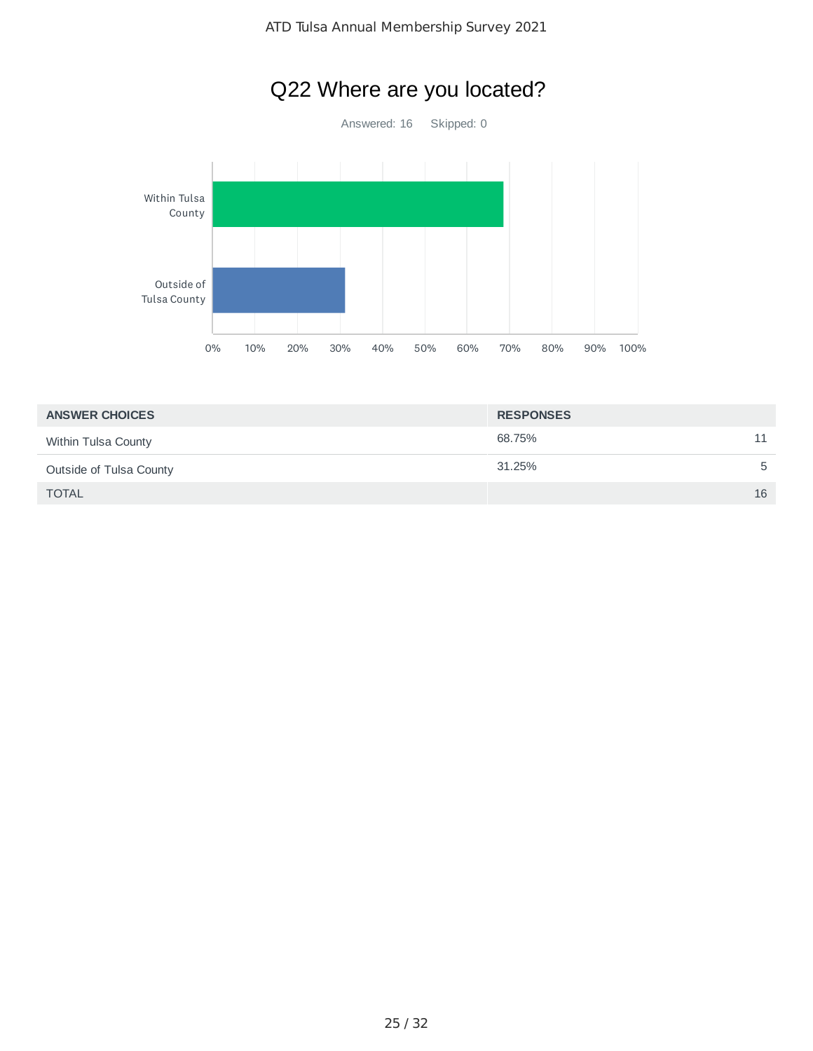# Q22 Where are you located?

Answered: 16 Skipped: 0



| <b>ANSWER CHOICES</b>   | <b>RESPONSES</b> |    |
|-------------------------|------------------|----|
| Within Tulsa County     | 68.75%           | 11 |
| Outside of Tulsa County | 31.25%           | 5  |
| <b>TOTAL</b>            |                  | 16 |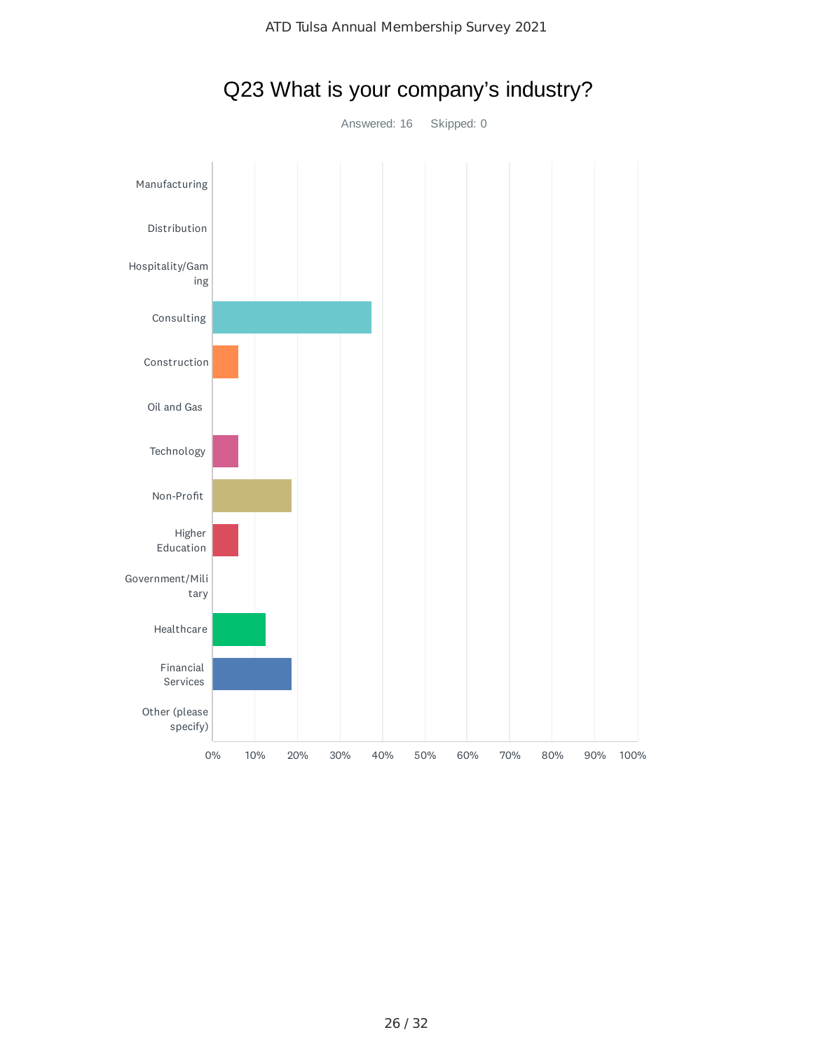

# Q23 What is your company's industry?

Answered: 16 Skipped: 0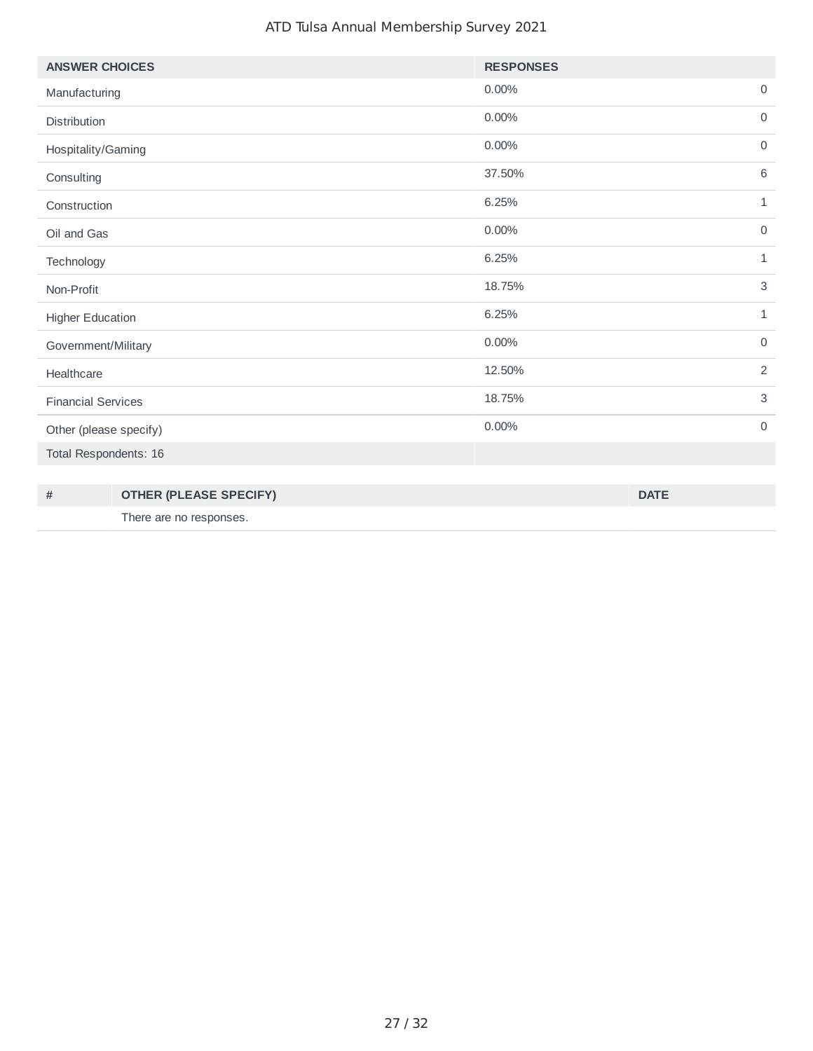#### ATD Tulsa Annual Membership Survey 2021

| <b>ANSWER CHOICES</b>     | <b>RESPONSES</b> |                |
|---------------------------|------------------|----------------|
| Manufacturing             | 0.00%            | $\mathbf 0$    |
| Distribution              | 0.00%            | $\mathbf 0$    |
| Hospitality/Gaming        | 0.00%            | $\mathbf 0$    |
| Consulting                | 37.50%           | 6              |
| Construction              | 6.25%            | $\mathbf{1}$   |
| Oil and Gas               | 0.00%            | $\mathbf 0$    |
| Technology                | 6.25%            | $\mathbf{1}$   |
| Non-Profit                | 18.75%           | $\mathsf 3$    |
| <b>Higher Education</b>   | 6.25%            | $\mathbf{1}$   |
| Government/Military       | 0.00%            | $\mathbf 0$    |
| Healthcare                | 12.50%           | $\overline{2}$ |
| <b>Financial Services</b> | 18.75%           | $\mathsf 3$    |
| Other (please specify)    | 0.00%            | $\mathbf 0$    |
| Total Respondents: 16     |                  |                |

| # | <b>OTHER (PLEASE SPECIFY)</b> | <b>DATE</b> |
|---|-------------------------------|-------------|
|   | There are no responses.       |             |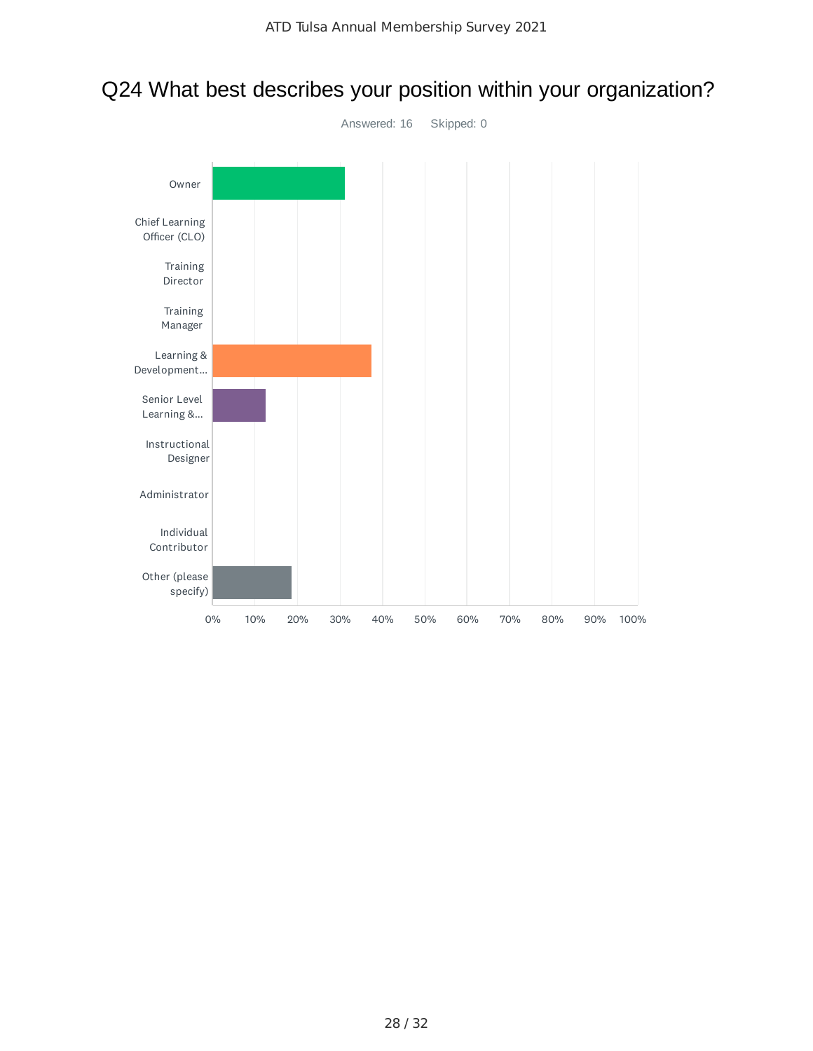# Q24 What best describes your position within your organization?

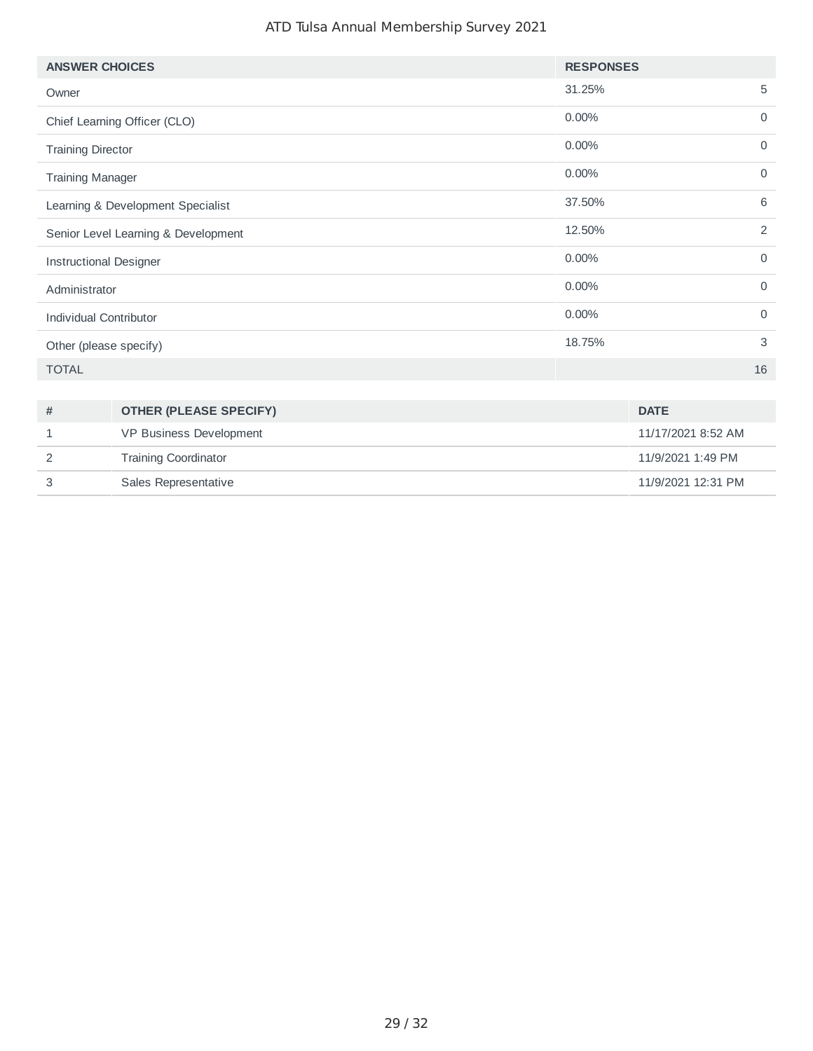#### ATD Tulsa Annual Membership Survey 2021

| <b>ANSWER CHOICES</b>               |                               | <b>RESPONSES</b> |                    |                |
|-------------------------------------|-------------------------------|------------------|--------------------|----------------|
| Owner                               |                               | 31.25%           |                    | 5              |
|                                     | Chief Learning Officer (CLO)  | $0.00\%$         |                    | $\mathbf 0$    |
| <b>Training Director</b>            |                               | 0.00%            |                    | $\mathsf{O}$   |
| <b>Training Manager</b>             |                               | 0.00%            |                    | $\mathbf 0$    |
| Learning & Development Specialist   |                               | 37.50%           |                    | 6              |
| Senior Level Learning & Development |                               | 12.50%           |                    | $\overline{c}$ |
| <b>Instructional Designer</b>       |                               | 0.00%            |                    | $\mathbf 0$    |
| Administrator                       |                               | 0.00%            |                    | $\mathbf 0$    |
| Individual Contributor              |                               | 0.00%            |                    | $\mathsf{O}$   |
| Other (please specify)              |                               | 18.75%           |                    | 3              |
| <b>TOTAL</b>                        |                               |                  |                    | 16             |
|                                     |                               |                  |                    |                |
| #                                   | <b>OTHER (PLEASE SPECIFY)</b> |                  | <b>DATE</b>        |                |
| 1                                   | VP Business Development       |                  | 11/17/2021 8:52 AM |                |
| 2                                   | <b>Training Coordinator</b>   |                  | 11/9/2021 1:49 PM  |                |
| 3                                   | Sales Representative          |                  | 11/9/2021 12:31 PM |                |